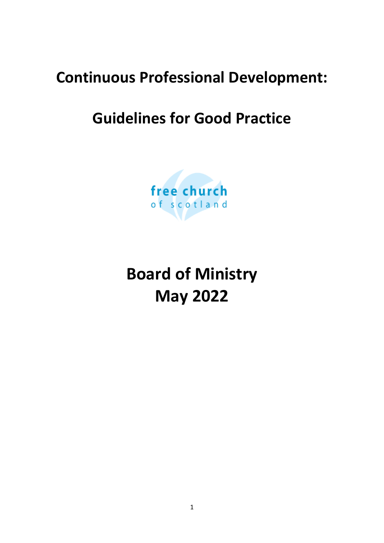# **Continuous Professional Development:**

# **Guidelines for Good Practice**



**Board of Ministry May 2022**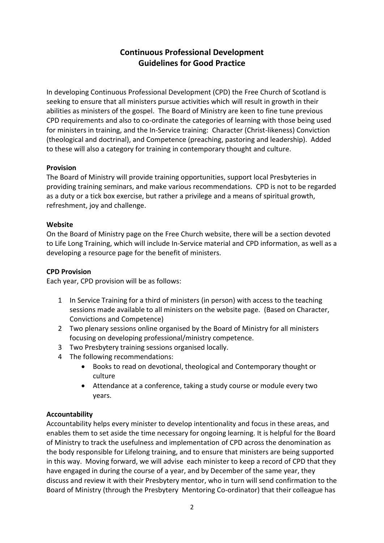# **Continuous Professional Development Guidelines for Good Practice**

In developing Continuous Professional Development (CPD) the Free Church of Scotland is seeking to ensure that all ministers pursue activities which will result in growth in their abilities as ministers of the gospel. The Board of Ministry are keen to fine tune previous CPD requirements and also to co-ordinate the categories of learning with those being used for ministers in training, and the In-Service training: Character (Christ-likeness) Conviction (theological and doctrinal), and Competence (preaching, pastoring and leadership). Added to these will also a category for training in contemporary thought and culture.

### **Provision**

The Board of Ministry will provide training opportunities, support local Presbyteries in providing training seminars, and make various recommendations. CPD is not to be regarded as a duty or a tick box exercise, but rather a privilege and a means of spiritual growth, refreshment, joy and challenge.

### **Website**

On the Board of Ministry page on the Free Church website, there will be a section devoted to Life Long Training, which will include In-Service material and CPD information, as well as a developing a resource page for the benefit of ministers.

## **CPD Provision**

Each year, CPD provision will be as follows:

- 1 In Service Training for a third of ministers (in person) with access to the teaching sessions made available to all ministers on the website page. (Based on Character, Convictions and Competence)
- 2 Two plenary sessions online organised by the Board of Ministry for all ministers focusing on developing professional/ministry competence.
- 3 Two Presbytery training sessions organised locally.
- 4 The following recommendations:
	- Books to read on devotional, theological and Contemporary thought or culture
	- Attendance at a conference, taking a study course or module every two years.

# **Accountability**

Accountability helps every minister to develop intentionality and focus in these areas, and enables them to set aside the time necessary for ongoing learning. It is helpful for the Board of Ministry to track the usefulness and implementation of CPD across the denomination as the body responsible for Lifelong training, and to ensure that ministers are being supported in this way. Moving forward, we will advise each minister to keep a record of CPD that they have engaged in during the course of a year, and by December of the same year, they discuss and review it with their Presbytery mentor, who in turn will send confirmation to the Board of Ministry (through the Presbytery Mentoring Co-ordinator) that their colleague has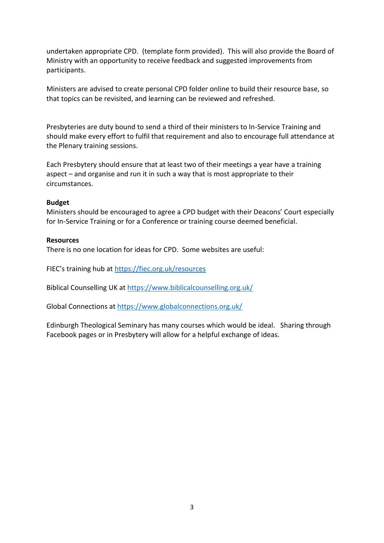undertaken appropriate CPD. (template form provided). This will also provide the Board of Ministry with an opportunity to receive feedback and suggested improvements from participants.

Ministers are advised to create personal CPD folder online to build their resource base, so that topics can be revisited, and learning can be reviewed and refreshed.

Presbyteries are duty bound to send a third of their ministers to In-Service Training and should make every effort to fulfil that requirement and also to encourage full attendance at the Plenary training sessions.

Each Presbytery should ensure that at least two of their meetings a year have a training aspect – and organise and run it in such a way that is most appropriate to their circumstances.

#### **Budget**

Ministers should be encouraged to agree a CPD budget with their Deacons' Court especially for In-Service Training or for a Conference or training course deemed beneficial.

#### **Resources**

There is no one location for ideas for CPD. Some websites are useful:

FIEC's training hub at <https://fiec.org.uk/resources>

Biblical Counselling UK at<https://www.biblicalcounselling.org.uk/>

Global Connections at<https://www.globalconnections.org.uk/>

Edinburgh Theological Seminary has many courses which would be ideal. Sharing through Facebook pages or in Presbytery will allow for a helpful exchange of ideas.